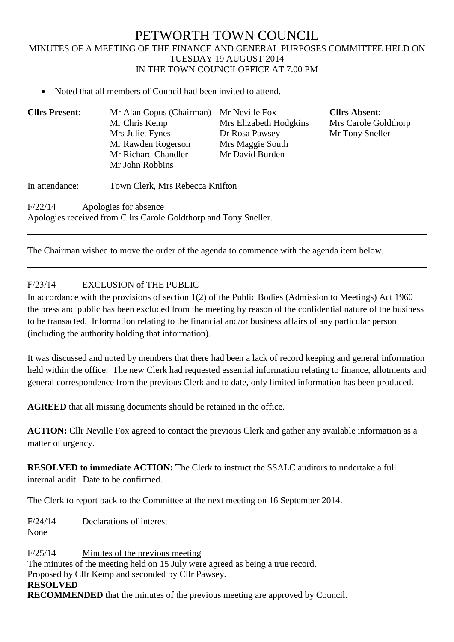# PETWORTH TOWN COUNCIL MINUTES OF A MEETING OF THE FINANCE AND GENERAL PURPOSES COMMITTEE HELD ON TUESDAY 19 AUGUST 2014 IN THE TOWN COUNCILOFFICE AT 7.00 PM

• Noted that all members of Council had been invited to attend.

| <b>Cllrs Present:</b> | Mr Alan Copus (Chairman)                                                                  | Mr Neville Fox         | <b>Cllrs Absent:</b> |
|-----------------------|-------------------------------------------------------------------------------------------|------------------------|----------------------|
|                       | Mr Chris Kemp                                                                             | Mrs Elizabeth Hodgkins | Mrs Carole Goldthorp |
|                       | Mrs Juliet Fynes                                                                          | Dr Rosa Pawsey         | Mr Tony Sneller      |
|                       | Mr Rawden Rogerson                                                                        | Mrs Maggie South       |                      |
|                       | Mr Richard Chandler                                                                       | Mr David Burden        |                      |
|                       | Mr John Robbins                                                                           |                        |                      |
| In attendance:        | Town Clerk, Mrs Rebecca Knifton                                                           |                        |                      |
| F/22/14               | Apologies for absence<br>Apologies received from Cllrs Carole Goldthorp and Tony Sneller. |                        |                      |
|                       |                                                                                           |                        |                      |

The Chairman wished to move the order of the agenda to commence with the agenda item below.

# F/23/14 EXCLUSION of THE PUBLIC

In accordance with the provisions of section 1(2) of the Public Bodies (Admission to Meetings) Act 1960 the press and public has been excluded from the meeting by reason of the confidential nature of the business to be transacted. Information relating to the financial and/or business affairs of any particular person (including the authority holding that information).

It was discussed and noted by members that there had been a lack of record keeping and general information held within the office. The new Clerk had requested essential information relating to finance, allotments and general correspondence from the previous Clerk and to date, only limited information has been produced.

**AGREED** that all missing documents should be retained in the office.

**ACTION:** Cllr Neville Fox agreed to contact the previous Clerk and gather any available information as a matter of urgency.

**RESOLVED to immediate ACTION:** The Clerk to instruct the SSALC auditors to undertake a full internal audit. Date to be confirmed.

The Clerk to report back to the Committee at the next meeting on 16 September 2014.

F/24/14 Declarations of interest None

F/25/14 Minutes of the previous meeting The minutes of the meeting held on 15 July were agreed as being a true record. Proposed by Cllr Kemp and seconded by Cllr Pawsey. **RESOLVED RECOMMENDED** that the minutes of the previous meeting are approved by Council.